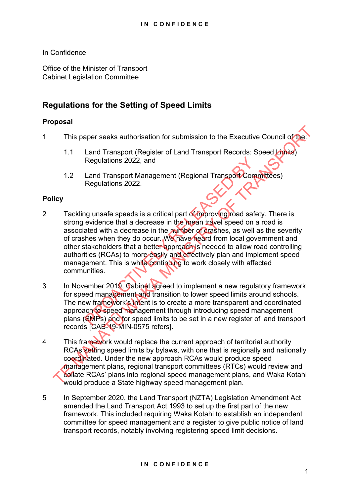In Confidence

Office of the Minister of Transport Cabinet Legislation Committee

# **Regulations for the Setting of Speed Limits**

### **Proposal**

- 1 This paper seeks authorisation for submission to the Executive Council of the
	- 1.1 Land Transport (Register of Land Transport Records: Speed Limits) Regulations 2022, and
	- 1.2 Land Transport Management (Regional Transport Committees) Regulations 2022.

### **Policy**

- 2 Tackling unsafe speeds is a critical part of improving road safety. There is strong evidence that a decrease in the mean travel speed on a road is associated with a decrease in the number of crashes, as well as the severity of crashes when they do occur. We have heard from local government and other stakeholders that a better approach is needed to allow road controlling authorities (RCAs) to more easily and effectively plan and implement speed management. This is while continuing to work closely with affected communities. Regulations 2022, and<br>
Land Transport Management (Regional Transport Com<br>
Regulations 2022.<br>
Regulations 2022.<br>
Secure that a decrease in the mean travel speed on a<br>
ated with a decrease in the mean travel speed on a<br>
ated This paper seeks authorisation for submission to the Executive Council of the<br>
1.1 Land Transport (Register of Land Transport Records: Speed Limits)<br>
Regulations 2022, and<br>
1.2 Land Transport Management (Regional Transport
- 3 In November 2019, Cabinet agreed to implement a new regulatory framework for speed management and transition to lower speed limits around schools. The new framework's intent is to create a more transparent and coordinated approach to speed management through introducing speed management plans (SMPs) and for speed limits to be set in a new register of land transport records [CAB-19-MIN-0575 refers].
- 4 This framework would replace the current approach of territorial authority RCAs setting speed limits by bylaws, with one that is regionally and nationally coordinated. Under the new approach RCAs would produce speed management plans, regional transport committees (RTCs) would review and collate RCAs' plans into regional speed management plans, and Waka Kotahi would produce a State highway speed management plan.
- 5 In September 2020, the Land Transport (NZTA) Legislation Amendment Act amended the Land Transport Act 1993 to set up the first part of the new framework. This included requiring Waka Kotahi to establish an independent committee for speed management and a register to give public notice of land transport records, notably involving registering speed limit decisions.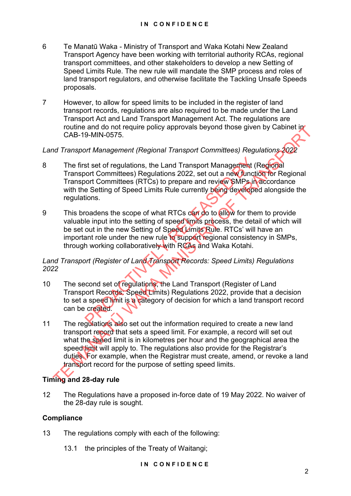- 6 Te Manatū Waka Ministry of Transport and Waka Kotahi New Zealand Transport Agency have been working with territorial authority RCAs, regional transport committees, and other stakeholders to develop a new Setting of Speed Limits Rule. The new rule will mandate the SMP process and roles of land transport regulators, and otherwise facilitate the Tackling Unsafe Speeds proposals.
- 7 However, to allow for speed limits to be included in the register of land transport records, regulations are also required to be made under the Land Transport Act and Land Transport Management Act. The regulations are routine and do not require policy approvals beyond those given by Cabinet in CAB-19-MIN-0575.

### *Land Transport Management (Regional Transport Committees) Regulations 2022*

- 8 The first set of regulations, the Land Transport Management (Regional Transport Committees) Regulations 2022, set out a new function for Regional Transport Committees (RTCs) to prepare and review SMPs in accordance with the Setting of Speed Limits Rule currently being developed alongside the regulations.
- 9 This broadens the scope of what RTCs can do to allow for them to provide valuable input into the setting of speed limits process, the detail of which will be set out in the new Setting of Speed Limits Rule. RTCs' will have an important role under the new rule to support regional consistency in SMPs. through working collaboratively with RCAs and Waka Kotahi. St set of regulations, the Land Transport Management (for Committees) Regulations 2022, set out a new function of Committees (RTCs) to prepare and review SMPs in e Setting of Speed Limits Rule currently being developed tim

### *Land Transport (Register of Land Transport Records: Speed Limits) Regulations 2022*

- 10 The second set of regulations, the Land Transport (Register of Land Transport Records: Speed Limits) Regulations 2022, provide that a decision to set a speed limit is a category of decision for which a land transport record can be created.
- 11 The regulations also set out the information required to create a new land transport record that sets a speed limit. For example, a record will set out what the speed limit is in kilometres per hour and the geographical area the speed limit will apply to. The regulations also provide for the Registrar's duties. For example, when the Registrar must create, amend, or revoke a land transport record for the purpose of setting speed limits. routine and do not require policy approvals beyond those given by Cabinet in<br>
OCAB-19-MIN-0575.<br>
The first set of regulations, the Land Transport Committees) Regulations<br>
The first set of regulations, the Land Transport Co

## **Timing and 28-day rule**

12 The Regulations have a proposed in-force date of 19 May 2022. No waiver of the 28-day rule is sought.

### **Compliance**

- 13 The regulations comply with each of the following:
	- 13.1 the principles of the Treaty of Waitangi;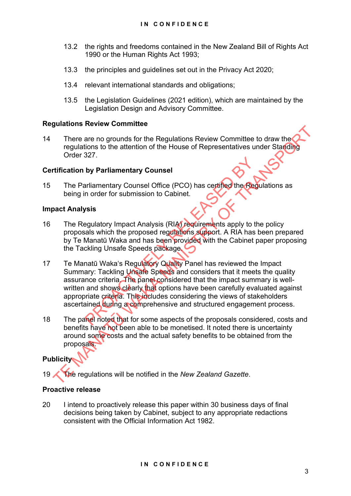- 13.2 the rights and freedoms contained in the New Zealand Bill of Rights Act 1990 or the Human Rights Act 1993;
- 13.3 the principles and guidelines set out in the Privacy Act 2020;
- 13.4 relevant international standards and obligations;
- 13.5 the Legislation Guidelines (2021 edition), which are maintained by the Legislation Design and Advisory Committee.

#### **Regulations Review Committee**

14 There are no grounds for the Regulations Review Committee to draw the regulations to the attention of the House of Representatives under Standing Order 327.

#### **Certification by Parliamentary Counsel**

15 The Parliamentary Counsel Office (PCO) has certified the Regulations as being in order for submission to Cabinet.

#### **Impact Analysis**

- 16 The Regulatory Impact Analysis (RIA) requirements apply to the policy proposals which the proposed regulations support. A RIA has been prepared by Te Manatū Waka and has been provided with the Cabinet paper proposing the Tackling Unsafe Speeds package.
- 17 Te Manatū Waka's Regulatory Quality Panel has reviewed the Impact Summary: Tackling Unsafe Speeds and considers that it meets the quality assurance criteria. The panel considered that the impact summary is wellwritten and shows clearly that options have been carefully evaluated against appropriate criteria. This includes considering the views of stakeholders ascertained during a comprehensive and structured engagement process. by Parliamentary Counsel<br>
In order for submission to Cabinet.<br>
The moder for submission to Cabinet.<br>
The moder for submission to Cabinet.<br>
Sistements apply to the proposed regulations support. A RIA has<br>
Manatū Waka and ha There are no grounds for the Regulations Review Committee to draw the Tree are no grounds for the attention of the House of Representatives under Started Crisis Critication by Parliamentary Counsel<br>The Parliamentary Counse
- 18 The panel noted that for some aspects of the proposals considered, costs and benefits have not been able to be monetised. It noted there is uncertainty around some costs and the actual safety benefits to be obtained from the proposals.

#### **Publicity**

19 The regulations will be notified in the *New Zealand Gazette*.

#### **Proactive release**

20 I intend to proactively release this paper within 30 business days of final decisions being taken by Cabinet, subject to any appropriate redactions consistent with the Official Information Act 1982.